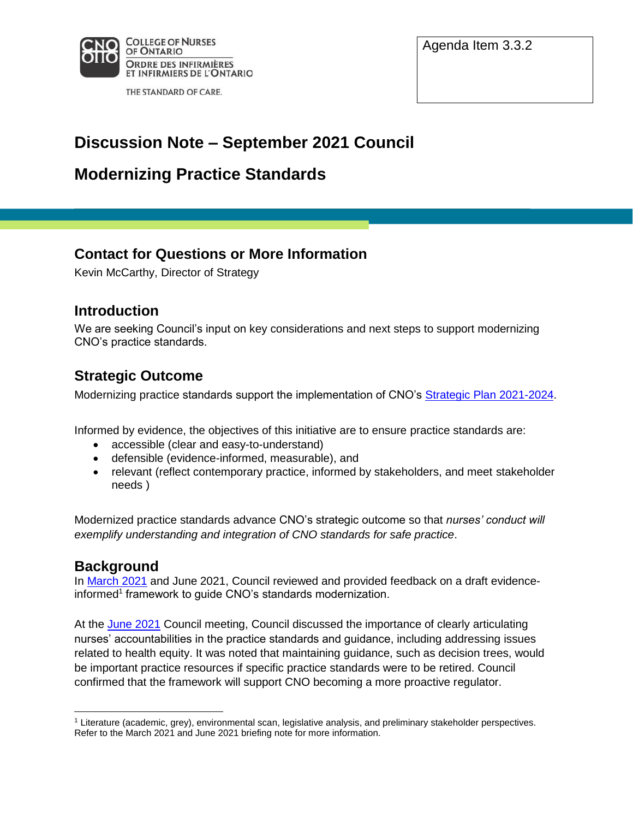

THE STANDARD OF CARE.

Agenda Item 3.3.2

# **Discussion Note – September 2021 Council**

# **Modernizing Practice Standards**

## **Contact for Questions or More Information**

Kevin McCarthy, Director of Strategy

### **Introduction**

We are seeking Council's input on key considerations and next steps to support modernizing CNO's practice standards.

## **Strategic Outcome**

Modernizing practice standards support the implementation of CNO's Strategic Plan 2021-2024.

Informed by evidence, the objectives of this initiative are to ensure practice standards are:

- accessible (clear and easy-to-understand)
- defensible (evidence-informed, measurable), and
- relevant (reflect contemporary practice, informed by stakeholders, and meet stakeholder needs )

Modernized practice standards advance CNO's strategic outcome so that *nurses' conduct will exemplify understanding and integration of CNO standards for safe practice*.

### **Background**

In March 2021 and June 2021, Council reviewed and provided feedback on a draft evidenceinformed<sup>1</sup> framework to guide CNO's standards modernization.

At the June 2021 Council meeting, Council discussed the importance of clearly articulating nurses' accountabilities in the practice standards and guidance, including addressing issues related to health equity. It was noted that maintaining guidance, such as decision trees, would be important practice resources if specific practice standards were to be retired. Council confirmed that the framework will support CNO becoming a more proactive regulator.

<sup>1</sup> Literature (academic, grey), environmental scan, legislative analysis, and preliminary stakeholder perspectives. Refer to the March 2021 and June 2021 briefing note for more information.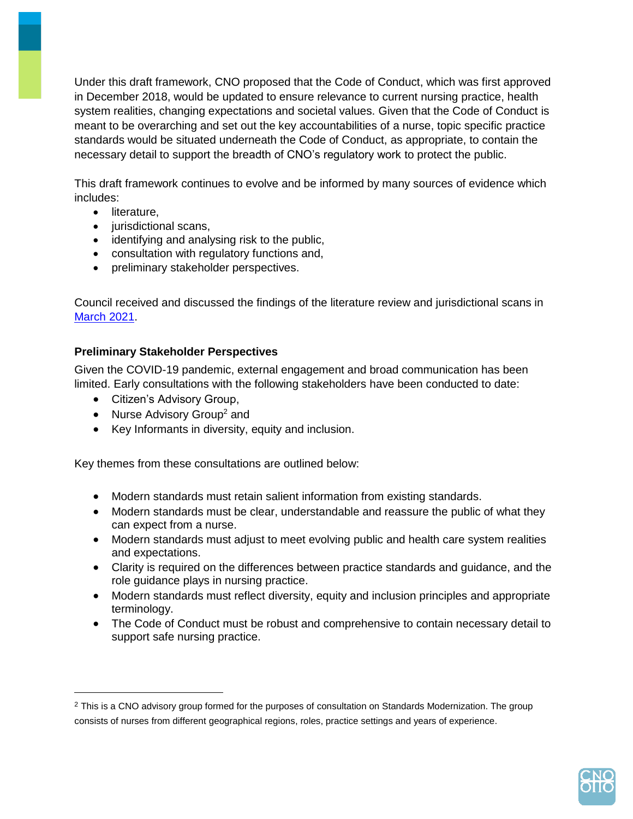Under this draft framework, CNO proposed that the Code of Conduct, which was first approved in December 2018, would be updated to ensure relevance to current nursing practice, health system realities, changing expectations and societal values. Given that the Code of Conduct is meant to be overarching and set out the key accountabilities of a nurse, topic specific practice standards would be situated underneath the Code of Conduct, as appropriate, to contain the necessary detail to support the breadth of CNO's regulatory work to protect the public.

This draft framework continues to evolve and be informed by many sources of evidence which includes:

- literature,
- jurisdictional scans,
- identifying and analysing risk to the public,
- consultation with regulatory functions and,
- preliminary stakeholder perspectives.

Council received and discussed the findings of the literature review and jurisdictional scans in March 2021.

#### **Preliminary Stakeholder Perspectives**

Given the COVID-19 pandemic, external engagement and broad communication has been limited. Early consultations with the following stakeholders have been conducted to date:

- Citizen's Advisory Group,
- Nurse Advisory Group<sup>2</sup> and
- Key Informants in diversity, equity and inclusion.

Key themes from these consultations are outlined below:

- Modern standards must retain salient information from existing standards.
- Modern standards must be clear, understandable and reassure the public of what they can expect from a nurse.
- Modern standards must adjust to meet evolving public and health care system realities and expectations.
- Clarity is required on the differences between practice standards and guidance, and the role guidance plays in nursing practice.
- Modern standards must reflect diversity, equity and inclusion principles and appropriate terminology.
- The Code of Conduct must be robust and comprehensive to contain necessary detail to support safe nursing practice.



<sup>&</sup>lt;sup>2</sup> This is a CNO advisory group formed for the purposes of consultation on Standards Modernization. The group consists of nurses from different geographical regions, roles, practice settings and years of experience.